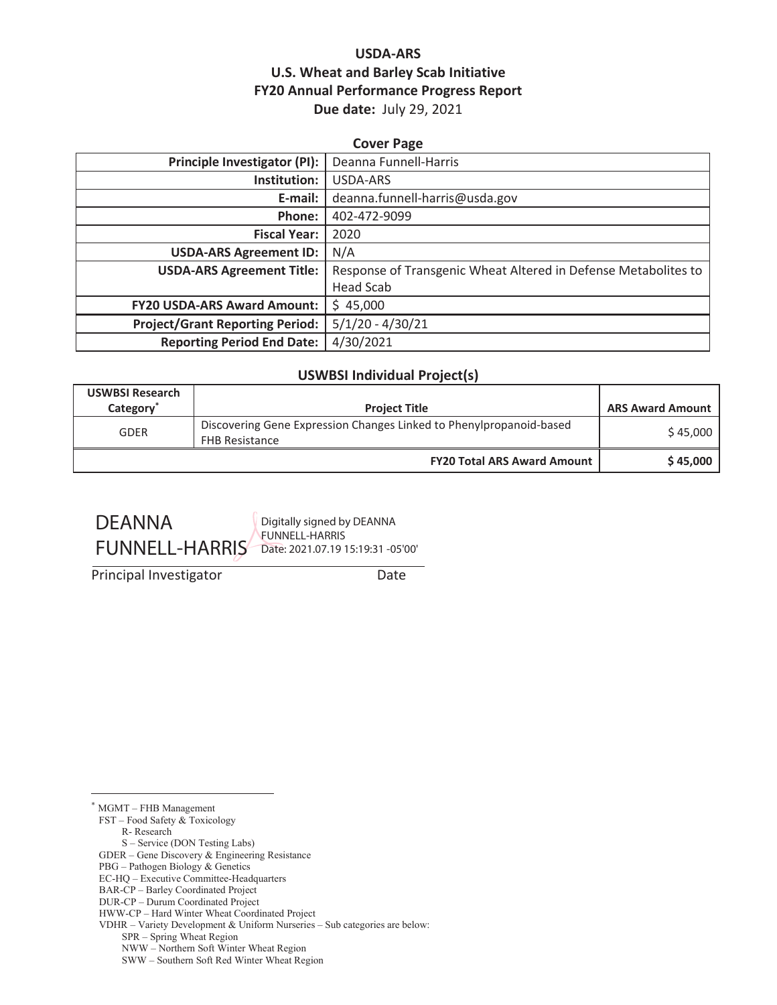### **USDA-ARS U.S. Wheat and Barley Scab Initiative FY20 Annual Performance Progress Report Due date:** July 29, 2021

| <b>Cover Page</b>                      |                                                                |  |  |
|----------------------------------------|----------------------------------------------------------------|--|--|
| Principle Investigator (PI):           | Deanna Funnell-Harris                                          |  |  |
| Institution:                           | <b>USDA-ARS</b>                                                |  |  |
| E-mail:                                | deanna.funnell-harris@usda.gov                                 |  |  |
| Phone:                                 | 402-472-9099                                                   |  |  |
| <b>Fiscal Year:</b>                    | 2020                                                           |  |  |
| <b>USDA-ARS Agreement ID:</b>          | N/A                                                            |  |  |
| <b>USDA-ARS Agreement Title:</b>       | Response of Transgenic Wheat Altered in Defense Metabolites to |  |  |
|                                        | <b>Head Scab</b>                                               |  |  |
| <b>FY20 USDA-ARS Award Amount:</b>     | \$45,000                                                       |  |  |
| <b>Project/Grant Reporting Period:</b> | $5/1/20 - 4/30/21$                                             |  |  |
| <b>Reporting Period End Date:</b>      | 4/30/2021                                                      |  |  |

#### **USWBSI Individual Project(s)**

| <b>USWBSI Research</b><br>Category <sup>®</sup> | <b>Project Title</b>                                                                         | <b>ARS Award Amount</b> |
|-------------------------------------------------|----------------------------------------------------------------------------------------------|-------------------------|
| <b>GDER</b>                                     | Discovering Gene Expression Changes Linked to Phenylpropanoid-based<br><b>FHB Resistance</b> | \$45,000                |
|                                                 | <b>FY20 Total ARS Award Amount</b>                                                           | \$45,000                |



Digitally signed by DEANNA FUNNELL-HARRIS

Principal Investigator Date

\* MGMT – FHB Management

FST – Food Safety & Toxicology

R- Research

S – Service (DON Testing Labs)

GDER – Gene Discovery & Engineering Resistance

PBG – Pathogen Biology & Genetics

EC-HQ – Executive Committee-Headquarters

BAR-CP – Barley Coordinated Project DUR-CP – Durum Coordinated Project

HWW-CP – Hard Winter Wheat Coordinated Project VDHR – Variety Development & Uniform Nurseries – Sub categories are below:

SPR – Spring Wheat Region

NWW – Northern Soft Winter Wheat Region

SWW – Southern Soft Red Winter Wheat Region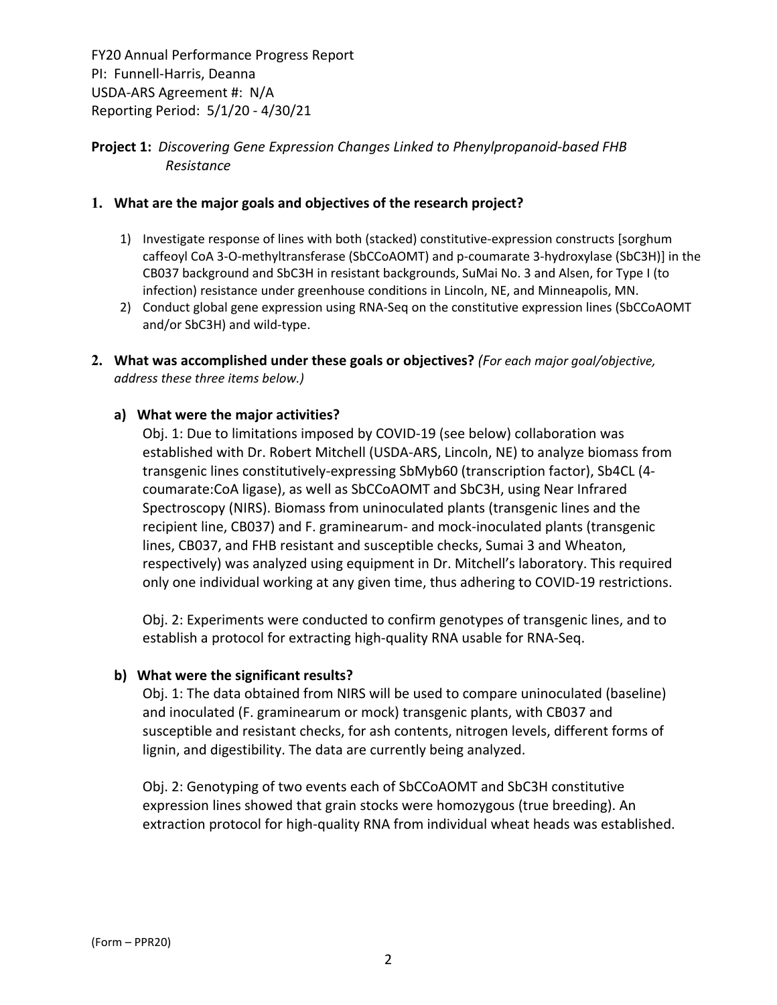#### **Project 1:** *Discovering Gene Expression Changes Linked to Phenylpropanoid‐based FHB Resistance*

#### **1. What are the major goals and objectives of the research project?**

- 1) Investigate response of lines with both (stacked) constitutive‐expression constructs [sorghum caffeoyl CoA 3‐O‐methyltransferase (SbCCoAOMT) and p‐coumarate 3‐hydroxylase (SbC3H)] in the CB037 background and SbC3H in resistant backgrounds, SuMai No. 3 and Alsen, for Type I (to infection) resistance under greenhouse conditions in Lincoln, NE, and Minneapolis, MN.
- 2) Conduct global gene expression using RNA-Seq on the constitutive expression lines (SbCCoAOMT and/or SbC3H) and wild‐type.
- **2. What was accomplished under these goals or objectives?** *(For each major goal/objective, address these three items below.)*

#### **a) What were the major activities?**

Obj. 1: Due to limitations imposed by COVID‐19 (see below) collaboration was established with Dr. Robert Mitchell (USDA‐ARS, Lincoln, NE) to analyze biomass from transgenic lines constitutively‐expressing SbMyb60 (transcription factor), Sb4CL (4‐ coumarate:CoA ligase), as well as SbCCoAOMT and SbC3H, using Near Infrared Spectroscopy (NIRS). Biomass from uninoculated plants (transgenic lines and the recipient line, CB037) and F. graminearum‐ and mock‐inoculated plants (transgenic lines, CB037, and FHB resistant and susceptible checks, Sumai 3 and Wheaton, respectively) was analyzed using equipment in Dr. Mitchell's laboratory. This required only one individual working at any given time, thus adhering to COVID‐19 restrictions.

Obj. 2: Experiments were conducted to confirm genotypes of transgenic lines, and to establish a protocol for extracting high‐quality RNA usable for RNA‐Seq.

#### **b) What were the significant results?**

Obj. 1: The data obtained from NIRS will be used to compare uninoculated (baseline) and inoculated (F. graminearum or mock) transgenic plants, with CB037 and susceptible and resistant checks, for ash contents, nitrogen levels, different forms of lignin, and digestibility. The data are currently being analyzed.

Obj. 2: Genotyping of two events each of SbCCoAOMT and SbC3H constitutive expression lines showed that grain stocks were homozygous (true breeding). An extraction protocol for high‐quality RNA from individual wheat heads was established.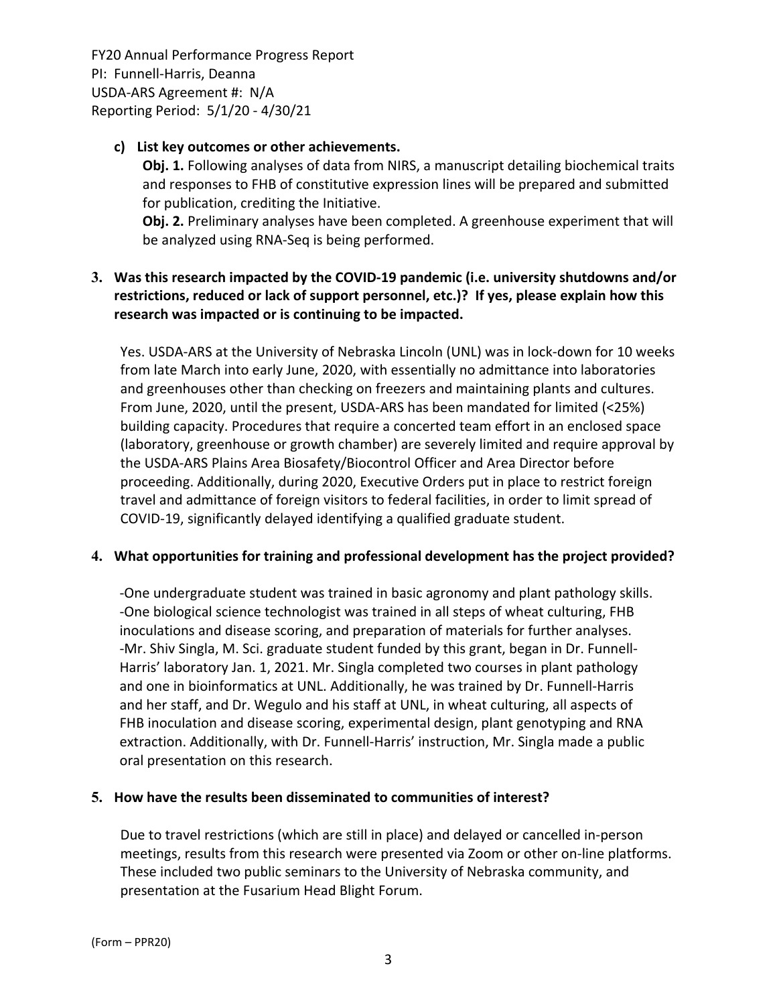#### **c) List key outcomes or other achievements.**

**Obj. 1.** Following analyses of data from NIRS, a manuscript detailing biochemical traits and responses to FHB of constitutive expression lines will be prepared and submitted for publication, crediting the Initiative.

**Obj. 2.** Preliminary analyses have been completed. A greenhouse experiment that will be analyzed using RNA‐Seq is being performed.

## **3. Was this research impacted by the COVID‐19 pandemic (i.e. university shutdowns and/or restrictions, reduced or lack of support personnel, etc.)? If yes, please explain how this research was impacted or is continuing to be impacted.**

Yes. USDA-ARS at the University of Nebraska Lincoln (UNL) was in lock-down for 10 weeks from late March into early June, 2020, with essentially no admittance into laboratories and greenhouses other than checking on freezers and maintaining plants and cultures. From June, 2020, until the present, USDA‐ARS has been mandated for limited (<25%) building capacity. Procedures that require a concerted team effort in an enclosed space (laboratory, greenhouse or growth chamber) are severely limited and require approval by the USDA‐ARS Plains Area Biosafety/Biocontrol Officer and Area Director before proceeding. Additionally, during 2020, Executive Orders put in place to restrict foreign travel and admittance of foreign visitors to federal facilities, in order to limit spread of COVID‐19, significantly delayed identifying a qualified graduate student.

#### **4. What opportunities for training and professional development has the project provided?**

‐One undergraduate student was trained in basic agronomy and plant pathology skills. ‐One biological science technologist was trained in all steps of wheat culturing, FHB inoculations and disease scoring, and preparation of materials for further analyses. ‐Mr. Shiv Singla, M. Sci. graduate student funded by this grant, began in Dr. Funnell‐ Harris' laboratory Jan. 1, 2021. Mr. Singla completed two courses in plant pathology and one in bioinformatics at UNL. Additionally, he was trained by Dr. Funnell‐Harris and her staff, and Dr. Wegulo and his staff at UNL, in wheat culturing, all aspects of FHB inoculation and disease scoring, experimental design, plant genotyping and RNA extraction. Additionally, with Dr. Funnell-Harris' instruction, Mr. Singla made a public oral presentation on this research.

#### **5. How have the results been disseminated to communities of interest?**

Due to travel restrictions (which are still in place) and delayed or cancelled in‐person meetings, results from this research were presented via Zoom or other on‐line platforms. These included two public seminars to the University of Nebraska community, and presentation at the Fusarium Head Blight Forum.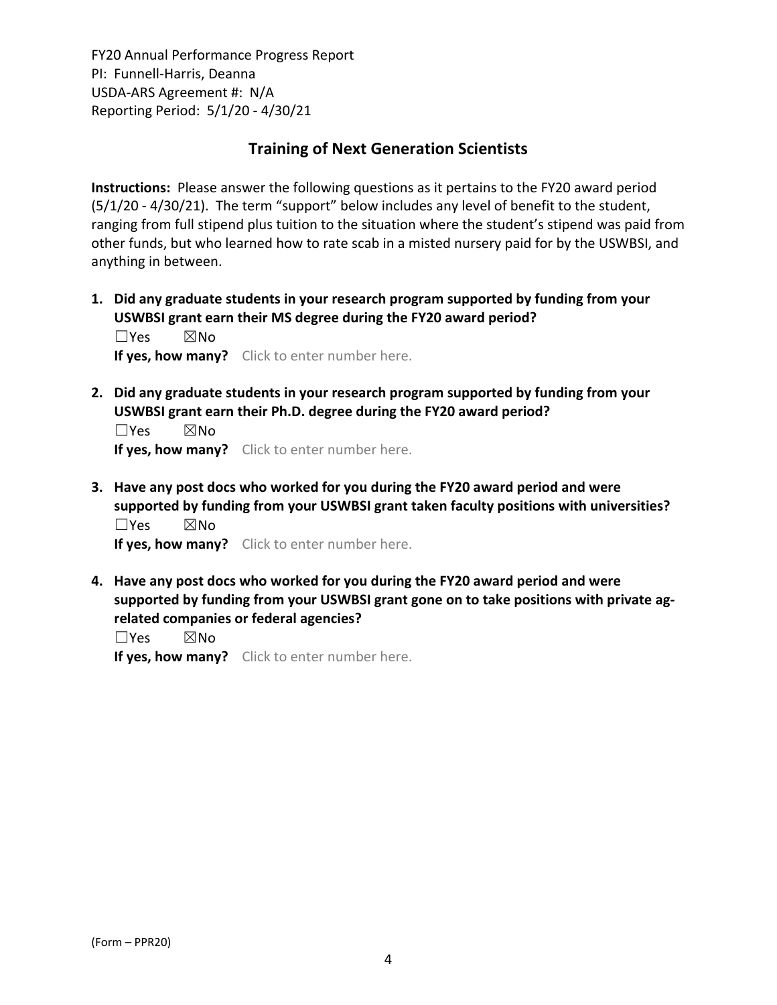## **Training of Next Generation Scientists**

**Instructions:** Please answer the following questions as it pertains to the FY20 award period (5/1/20 ‐ 4/30/21). The term "support" below includes any level of benefit to the student, ranging from full stipend plus tuition to the situation where the student's stipend was paid from other funds, but who learned how to rate scab in a misted nursery paid for by the USWBSI, and anything in between.

**1. Did any graduate students in your research program supported by funding from your USWBSI grant earn their MS degree during the FY20 award period?** ☐Yes ☒No

**If yes, how many?** Click to enter number here.

**2. Did any graduate students in your research program supported by funding from your USWBSI grant earn their Ph.D. degree during the FY20 award period?**

 $\square$ Yes  $\square$ No **If yes, how many?** Click to enter number here.

**3. Have any post docs who worked for you during the FY20 award period and were supported by funding from your USWBSI grant taken faculty positions with universities?** ☐Yes ☒No

**If yes, how many?** Click to enter number here.

**4. Have any post docs who worked for you during the FY20 award period and were supported by funding from your USWBSI grant gone on to take positions with private ag‐ related companies or federal agencies?**

☐Yes ☒No

**If yes, how many?** Click to enter number here.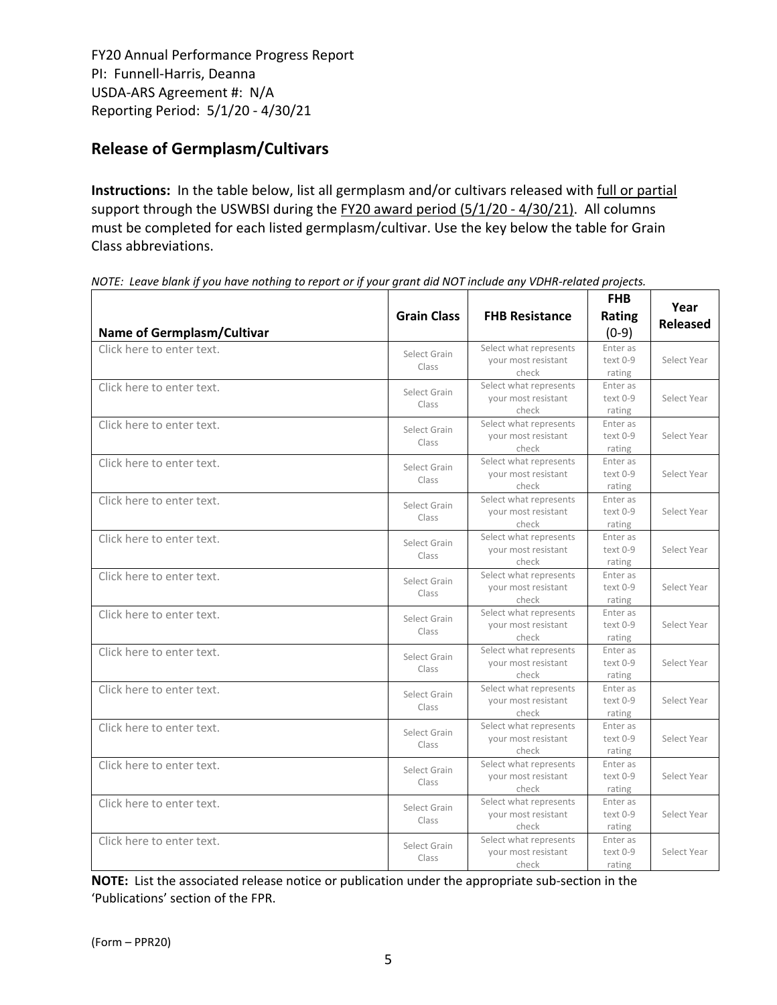# **Release of Germplasm/Cultivars**

**Instructions:** In the table below, list all germplasm and/or cultivars released with full or partial support through the USWBSI during the FY20 award period (5/1/20 - 4/30/21). All columns must be completed for each listed germplasm/cultivar. Use the key below the table for Grain Class abbreviations. 

| <b>Name of Germplasm/Cultivar</b> | <b>Grain Class</b>    | <b>FHB Resistance</b>                                  | <b>FHB</b><br>Rating<br>$(0-9)$  | Year<br><b>Released</b> |
|-----------------------------------|-----------------------|--------------------------------------------------------|----------------------------------|-------------------------|
| Click here to enter text.         | Select Grain<br>Class | Select what represents<br>your most resistant<br>check | Enter as<br>text 0-9<br>rating   | Select Year             |
| Click here to enter text.         | Select Grain<br>Class | Select what represents<br>your most resistant<br>check | Enter as<br>text 0-9<br>rating   | Select Year             |
| Click here to enter text.         | Select Grain<br>Class | Select what represents<br>your most resistant<br>check | Enter as<br>text 0-9<br>rating   | Select Year             |
| Click here to enter text.         | Select Grain<br>Class | Select what represents<br>your most resistant<br>check | Enter as<br>text 0-9<br>rating   | Select Year             |
| Click here to enter text.         | Select Grain<br>Class | Select what represents<br>your most resistant<br>check | Enter as<br>text 0-9<br>rating   | Select Year             |
| Click here to enter text.         | Select Grain<br>Class | Select what represents<br>your most resistant<br>check | Enter as<br>text 0-9<br>rating   | Select Year             |
| Click here to enter text.         | Select Grain<br>Class | Select what represents<br>your most resistant<br>check | Enter as<br>text 0-9<br>rating   | Select Year             |
| Click here to enter text.         | Select Grain<br>Class | Select what represents<br>your most resistant<br>check | Enter as<br>text 0-9<br>rating   | Select Year             |
| Click here to enter text.         | Select Grain<br>Class | Select what represents<br>your most resistant<br>check | Enter as<br>text 0-9<br>rating   | Select Year             |
| Click here to enter text.         | Select Grain<br>Class | Select what represents<br>your most resistant<br>check | Enter as<br>text 0-9<br>rating   | Select Year             |
| Click here to enter text.         | Select Grain<br>Class | Select what represents<br>your most resistant<br>check | Enter as<br>text 0-9<br>rating   | Select Year             |
| Click here to enter text.         | Select Grain<br>Class | Select what represents<br>your most resistant<br>check | Enter as<br>$text 0-9$<br>rating | Select Year             |
| Click here to enter text.         | Select Grain<br>Class | Select what represents<br>your most resistant<br>check | Enter as<br>text 0-9<br>rating   | Select Year             |
| Click here to enter text.         | Select Grain<br>Class | Select what represents<br>your most resistant<br>check | Enter as<br>text 0-9<br>rating   | Select Year             |

NOTE: Leave blank if you have nothing to report or if your grant did NOT include any VDHR-related projects.

**NOTE:** List the associated release notice or publication under the appropriate sub-section in the 'Publications' section of the FPR.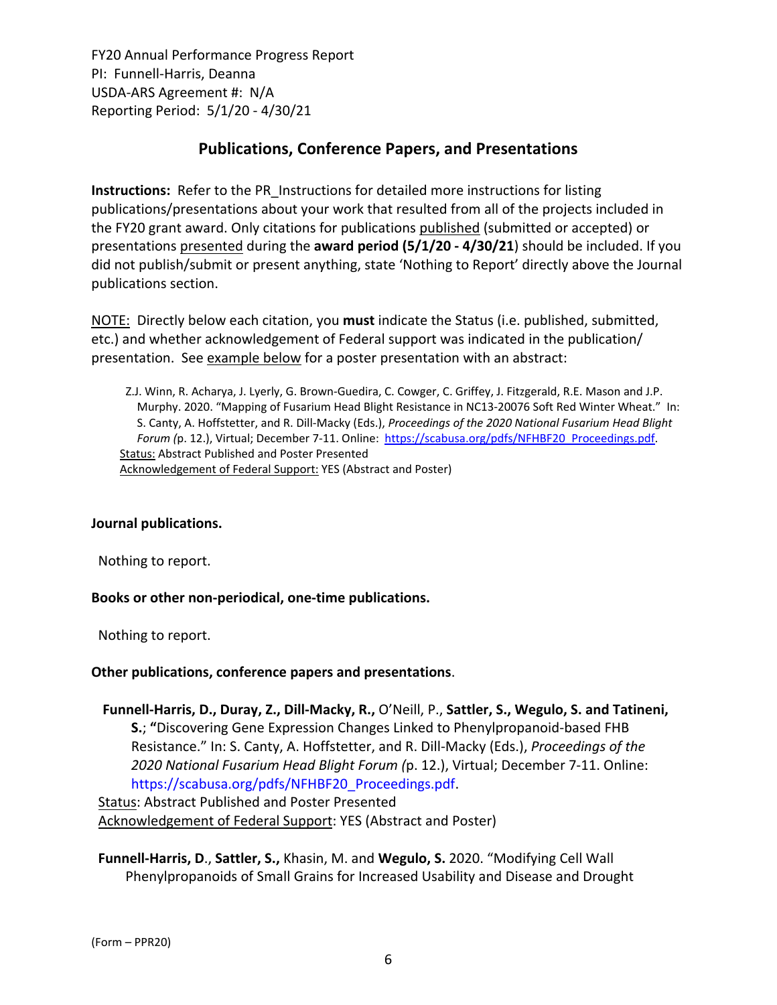# **Publications, Conference Papers, and Presentations**

**Instructions:** Refer to the PR\_Instructions for detailed more instructions for listing publications/presentations about your work that resulted from all of the projects included in the FY20 grant award. Only citations for publications published (submitted or accepted) or presentations presented during the **award period (5/1/20 ‐ 4/30/21**) should be included. If you did not publish/submit or present anything, state 'Nothing to Report' directly above the Journal publications section.

NOTE: Directly below each citation, you **must** indicate the Status (i.e. published, submitted, etc.) and whether acknowledgement of Federal support was indicated in the publication/ presentation. See example below for a poster presentation with an abstract:

Z.J. Winn, R. Acharya, J. Lyerly, G. Brown‐Guedira, C. Cowger, C. Griffey, J. Fitzgerald, R.E. Mason and J.P. Murphy. 2020. "Mapping of Fusarium Head Blight Resistance in NC13‐20076 Soft Red Winter Wheat." In: S. Canty, A. Hoffstetter, and R. Dill‐Macky (Eds.), *Proceedings of the 2020 National Fusarium Head Blight Forum (*p. 12.), Virtual; December 7‐11. Online: https://scabusa.org/pdfs/NFHBF20\_Proceedings.pdf. Status: Abstract Published and Poster Presented Acknowledgement of Federal Support: YES (Abstract and Poster)

#### **Journal publications.**

Nothing to report.

#### **Books or other non‐periodical, one‐time publications.**

Nothing to report.

#### **Other publications, conference papers and presentations**.

**Funnell‐Harris, D., Duray, Z., Dill‐Macky, R.,** O'Neill, P., **Sattler, S., Wegulo, S. and Tatineni, S.**; **"**Discovering Gene Expression Changes Linked to Phenylpropanoid‐based FHB Resistance." In: S. Canty, A. Hoffstetter, and R. Dill‐Macky (Eds.), *Proceedings of the 2020 National Fusarium Head Blight Forum (*p. 12.), Virtual; December 7‐11. Online: https://scabusa.org/pdfs/NFHBF20\_Proceedings.pdf.

Status: Abstract Published and Poster Presented Acknowledgement of Federal Support: YES (Abstract and Poster)

**Funnell‐Harris, D**., **Sattler, S.,** Khasin, M. and **Wegulo, S.** 2020. "Modifying Cell Wall Phenylpropanoids of Small Grains for Increased Usability and Disease and Drought